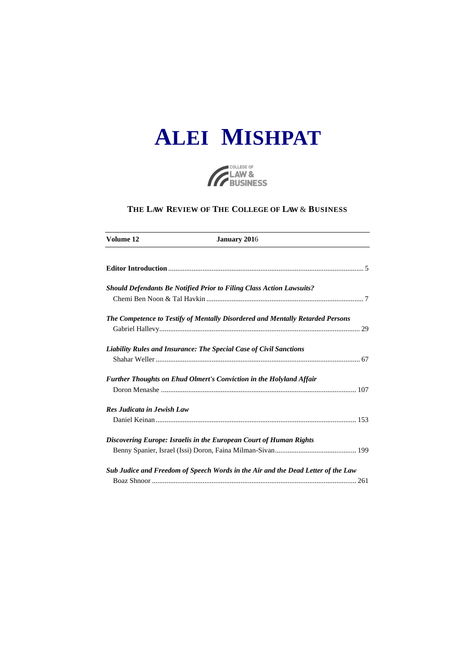



### **THE LAW REVIEW OF THE COLLEGE OF LAW** & **BUSINESS**

| Volume 12                  | <b>January 2016</b>                                                              |  |
|----------------------------|----------------------------------------------------------------------------------|--|
|                            |                                                                                  |  |
|                            | <b>Should Defendants Be Notified Prior to Filing Class Action Lawsuits?</b>      |  |
|                            |                                                                                  |  |
|                            | The Competence to Testify of Mentally Disordered and Mentally Retarded Persons   |  |
|                            |                                                                                  |  |
|                            | <b>Liability Rules and Insurance: The Special Case of Civil Sanctions</b>        |  |
|                            |                                                                                  |  |
|                            | Further Thoughts on Ehud Olmert's Conviction in the Holyland Affair              |  |
|                            |                                                                                  |  |
| Res Judicata in Jewish Law |                                                                                  |  |
|                            |                                                                                  |  |
|                            | Discovering Europe: Israelis in the European Court of Human Rights               |  |
|                            |                                                                                  |  |
|                            | Sub Judice and Freedom of Speech Words in the Air and the Dead Letter of the Law |  |
|                            |                                                                                  |  |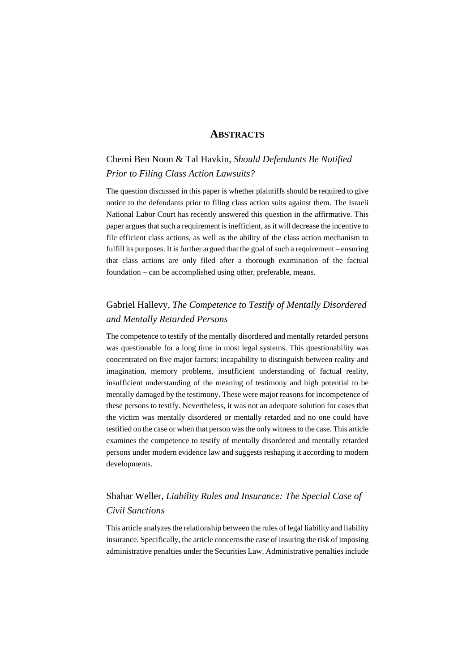#### **ABSTRACTS**

# Chemi Ben Noon & Tal Havkin, *Should Defendants Be Notified Prior to Filing Class Action Lawsuits?*

The question discussed in this paper is whether plaintiffs should be required to give notice to the defendants prior to filing class action suits against them. The Israeli National Labor Court has recently answered this question in the affirmative. This paper argues that such a requirement is inefficient, as it will decrease the incentive to file efficient class actions, as well as the ability of the class action mechanism to fulfill its purposes. It is further argued that the goal of such a requirement – ensuring that class actions are only filed after a thorough examination of the factual foundation – can be accomplished using other, preferable, means.

## Gabriel Hallevy, *The Competence to Testify of Mentally Disordered and Mentally Retarded Persons*

The competence to testify of the mentally disordered and mentally retarded persons was questionable for a long time in most legal systems. This questionability was concentrated on five major factors: incapability to distinguish between reality and imagination, memory problems, insufficient understanding of factual reality, insufficient understanding of the meaning of testimony and high potential to be mentally damaged by the testimony. These were major reasons for incompetence of these persons to testify. Nevertheless, it was not an adequate solution for cases that the victim was mentally disordered or mentally retarded and no one could have testified on the case or when that person was the only witness to the case. This article examines the competence to testify of mentally disordered and mentally retarded persons under modern evidence law and suggests reshaping it according to modern developments.

### Shahar Weller, *Liability Rules and Insurance: The Special Case of Civil Sanctions*

This article analyzes the relationship between the rules of legal liability and liability insurance. Specifically, the article concerns the case of insuring the risk of imposing administrative penalties under the Securities Law. Administrative penalties include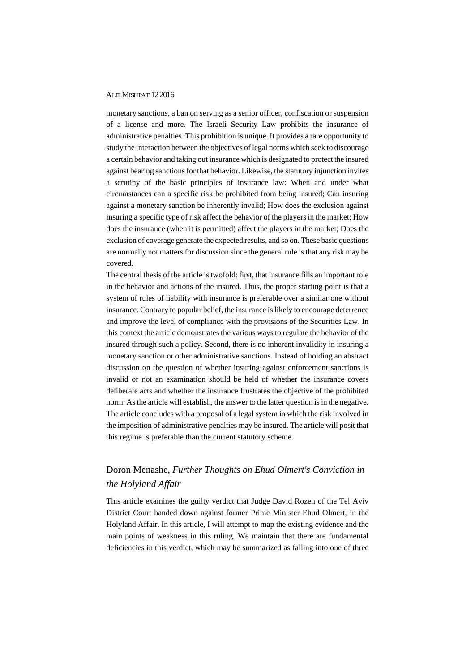#### ALEI MISHPAT 12 2016

monetary sanctions, a ban on serving as a senior officer, confiscation or suspension of a license and more. The Israeli Security Law prohibits the insurance of administrative penalties. This prohibition is unique. It provides a rare opportunity to study the interaction between the objectives of legal norms which seek to discourage a certain behavior and taking out insurance which is designated to protect the insured against bearing sanctions for that behavior. Likewise, the statutory injunction invites a scrutiny of the basic principles of insurance law: When and under what circumstances can a specific risk be prohibited from being insured; Can insuring against a monetary sanction be inherently invalid; How does the exclusion against insuring a specific type of risk affect the behavior of the players in the market; How does the insurance (when it is permitted) affect the players in the market; Does the exclusion of coverage generate the expected results, and so on. These basic questions are normally not matters for discussion since the general rule is that any risk may be covered.

The central thesis of the article is twofold: first, that insurance fills an important role in the behavior and actions of the insured. Thus, the proper starting point is that a system of rules of liability with insurance is preferable over a similar one without insurance. Contrary to popular belief, the insurance is likely to encourage deterrence and improve the level of compliance with the provisions of the Securities Law. In this context the article demonstrates the various ways to regulate the behavior of the insured through such a policy. Second, there is no inherent invalidity in insuring a monetary sanction or other administrative sanctions. Instead of holding an abstract discussion on the question of whether insuring against enforcement sanctions is invalid or not an examination should be held of whether the insurance covers deliberate acts and whether the insurance frustrates the objective of the prohibited norm. As the article will establish, the answer to the latter question is in the negative. The article concludes with a proposal of a legal system in which the risk involved in the imposition of administrative penalties may be insured. The article will posit that this regime is preferable than the current statutory scheme.

## Doron Menashe, *Further Thoughts on Ehud Olmert's Conviction in the Holyland Affair*

This article examines the guilty verdict that Judge David Rozen of the Tel Aviv District Court handed down against former Prime Minister Ehud Olmert, in the Holyland Affair. In this article, I will attempt to map the existing evidence and the main points of weakness in this ruling. We maintain that there are fundamental deficiencies in this verdict, which may be summarized as falling into one of three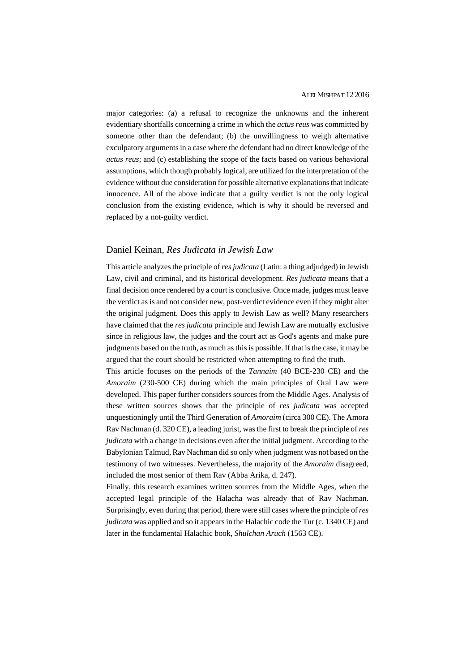major categories: (a) a refusal to recognize the unknowns and the inherent evidentiary shortfalls concerning a crime in which the *actus reus* was committed by someone other than the defendant; (b) the unwillingness to weigh alternative exculpatory arguments in a case where the defendant had no direct knowledge of the *actus reus*; and (c) establishing the scope of the facts based on various behavioral assumptions, which though probably logical, are utilized for the interpretation of the evidence without due consideration for possible alternative explanations that indicate innocence. All of the above indicate that a guilty verdict is not the only logical conclusion from the existing evidence, which is why it should be reversed and replaced by a not-guilty verdict.

#### Daniel Keinan, *Res Judicata in Jewish Law*

This article analyzes the principle of *resjudicata* (Latin: a thing adjudged) in Jewish Law, civil and criminal, and its historical development. *Res judicata* means that a final decision once rendered by a court is conclusive. Once made, judges must leave the verdict as is and not consider new, post-verdict evidence even if they might alter the original judgment. Does this apply to Jewish Law as well? Many researchers have claimed that the *res judicata* principle and Jewish Law are mutually exclusive since in religious law, the judges and the court act as God's agents and make pure judgments based on the truth, as much as this is possible. If that is the case, it may be argued that the court should be restricted when attempting to find the truth.

This article focuses on the periods of the *Tannaim* (40 BCE-230 CE) and the *Amoraim* (230-500 CE) during which the main principles of Oral Law were developed. This paper further considers sources from the Middle Ages. Analysis of these written sources shows that the principle of *res judicata* was accepted unquestioningly until the Third Generation of *Amoraim* (circa 300 CE). The Amora Rav Nachman (d. 320 CE), a leading jurist, was the first to break the principle of *res judicata* with a change in decisions even after the initial judgment. According to the Babylonian Talmud, Rav Nachman did so only when judgment was not based on the testimony of two witnesses. Nevertheless, the majority of the *Amoraim* disagreed, included the most senior of them Rav (Abba Arika, d. 247).

Finally, this research examines written sources from the Middle Ages, when the accepted legal principle of the Halacha was already that of Rav Nachman. Surprisingly, even during that period, there were still cases where the principle of *res judicata* was applied and so it appears in the Halachic code the Tur (c. 1340 CE) and later in the fundamental Halachic book, *Shulchan Aruch* (1563 CE).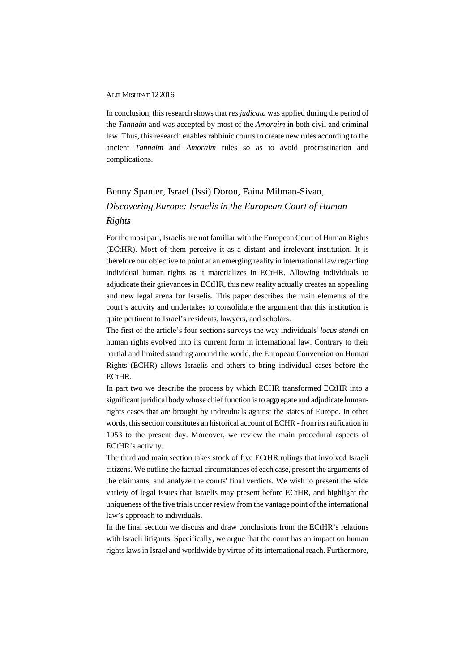#### ALEI MISHPAT 12 2016

In conclusion, this research shows that *res judicata* was applied during the period of the *Tannaim* and was accepted by most of the *Amoraim* in both civil and criminal law. Thus, this research enables rabbinic courts to create new rules according to the ancient *Tannaim* and *Amoraim* rules so as to avoid procrastination and complications.

# Benny Spanier, Israel (Issi) Doron, Faina Milman-Sivan, *Discovering Europe: Israelis in the European Court of Human Rights*

For the most part, Israelis are not familiar with the European Court of Human Rights (ECtHR). Most of them perceive it as a distant and irrelevant institution. It is therefore our objective to point at an emerging reality in international law regarding individual human rights as it materializes in ECtHR. Allowing individuals to adjudicate their grievances in ECtHR, this new reality actually creates an appealing and new legal arena for Israelis. This paper describes the main elements of the court's activity and undertakes to consolidate the argument that this institution is quite pertinent to Israel's residents, lawyers, and scholars.

The first of the article's four sections surveys the way individuals' *locus standi* on human rights evolved into its current form in international law. Contrary to their partial and limited standing around the world, the European Convention on Human Rights (ECHR) allows Israelis and others to bring individual cases before the ECtHR.

In part two we describe the process by which ECHR transformed ECtHR into a significant juridical body whose chief function is to aggregate and adjudicate humanrights cases that are brought by individuals against the states of Europe. In other words, this section constitutes an historical account of ECHR - from its ratification in 1953 to the present day. Moreover, we review the main procedural aspects of ECtHR's activity.

The third and main section takes stock of five ECtHR rulings that involved Israeli citizens. We outline the factual circumstances of each case, present the arguments of the claimants, and analyze the courts' final verdicts. We wish to present the wide variety of legal issues that Israelis may present before ECtHR, and highlight the uniqueness of the five trials under review from the vantage point of the international law's approach to individuals.

In the final section we discuss and draw conclusions from the ECtHR's relations with Israeli litigants. Specifically, we argue that the court has an impact on human rights laws in Israel and worldwide by virtue of its international reach. Furthermore,